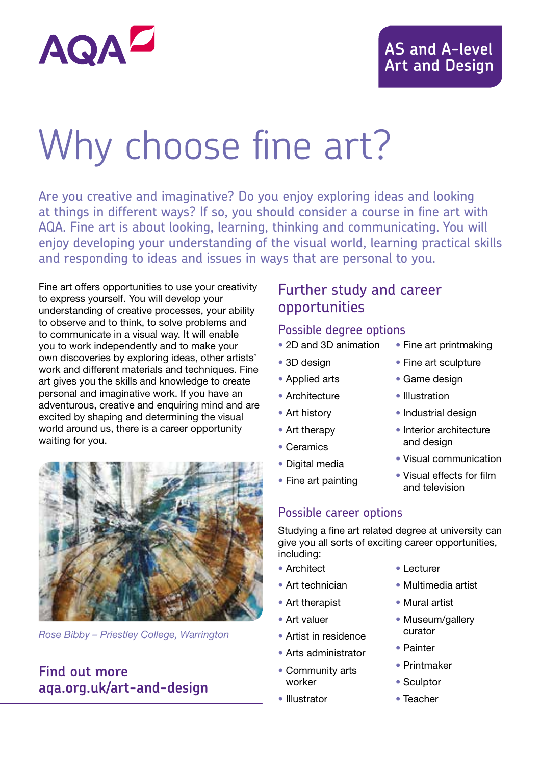

#### **AS and A-level Art and Design**

# Why choose fine art?

Are you creative and imaginative? Do you enjoy exploring ideas and looking at things in different ways? If so, you should consider a course in fine art with AQA. Fine art is about looking, learning, thinking and communicating. You will enjoy developing your understanding of the visual world, learning practical skills and responding to ideas and issues in ways that are personal to you.

Fine art offers opportunities to use your creativity to express yourself. You will develop your understanding of creative processes, your ability to observe and to think, to solve problems and to communicate in a visual way. It will enable you to work independently and to make your own discoveries by exploring ideas, other artists' work and different materials and techniques. Fine art gives you the skills and knowledge to create personal and imaginative work. If you have an adventurous, creative and enquiring mind and are excited by shaping and determining the visual world around us, there is a career opportunity waiting for you.



*Rose Bibby – Priestley College, Warrington*

#### **Find out more aqa.org.uk/art-and-design**

#### Further study and career opportunities

#### Possible degree options

- 2D and 3D animation
- 3D design
- Applied arts
- Architecture
- Art history
- Art therapy
- Ceramics
- Digital media
- Fine art painting
- Possible career options

Studying a fine art related degree at university can give you all sorts of exciting career opportunities, including:

- Architect
- Art technician
- Art therapist
- Art valuer
- Artist in residence
- Arts administrator
- Community arts worker
- Illustrator
- Lecturer
- Multimedia artist
- Mural artist
- Museum/gallery curator
- Painter
- Printmaker
- Sculptor
- Teacher
- Fine art printmaking
- Fine art sculpture
- Game design
- Illustration
- Industrial design
- and design
- Visual communication
- Visual effects for film and television
- - Interior architecture